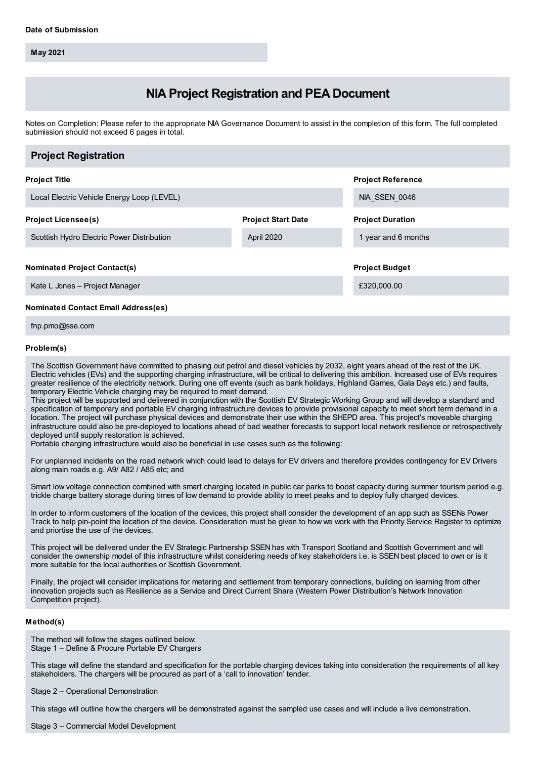**May 2021**

# **NIA Project Registration and PEA Document**

Notes on Completion: Please refer to the appropriate NIA Governance Document to assist in the completion of this form. The full completed submission should not exceed 6 pages in total.

| <b>Project Registration</b>                |                           |                          |
|--------------------------------------------|---------------------------|--------------------------|
| <b>Project Title</b>                       |                           | <b>Project Reference</b> |
| Local Electric Vehicle Energy Loop (LEVEL) |                           | NIA SSEN 0046            |
| <b>Project Licensee(s)</b>                 | <b>Project Start Date</b> | <b>Project Duration</b>  |
| Scottish Hydro Electric Power Distribution | April 2020                | 1 year and 6 months      |
| <b>Nominated Project Contact(s)</b>        |                           | <b>Project Budget</b>    |
| Kate L Jones - Project Manager             |                           | £320,000.00              |
| <b>Nominated Contact Email Address(es)</b> |                           |                          |

fnp.pmo@sse.com

#### **Problem(s)**

The Scottish Government have committed to phasing out petrol and diesel vehicles by 2032, eight years ahead of the rest of the UK. Electric vehicles (EVs) and the supporting charging infrastructure, will be critical to delivering this ambition. Increased use of EVs requires greater resilience of the electricity network. During one off events (such as bank holidays, Highland Games, Gala Days etc.) and faults, temporary Electric Vehicle charging may be required to meet demand.

This project will be supported and delivered in conjunction with the Scottish EV Strategic Working Group and will develop a standard and specification of temporary and portable EV charging infrastructure devices to provide provisional capacity to meet short term demand in a location. The project will purchase physical devices and demonstrate their use within the SHEPD area. This project's moveable charging infrastructure could also be pre-deployed to locations ahead of bad weather forecasts to support local network resilience or retrospectively deployed until supply restoration is achieved.

Portable charging infrastructure would also be beneficial in use cases such as the following:

For unplanned incidents on the road network which could lead to delays for EV drivers and therefore provides contingency for EV Drivers along main roads e.g. A9/ A82 / A85 etc; and

Smart low voltage connection combined with smart charging located in public car parks to boost capacity during summer tourism period e.g. trickle charge battery storage during times of low demand to provide ability to meet peaks and to deploy fully charged devices.

In order to inform customers of the location of the devices, this project shall consider the development of an app such as SSENs Power Track to help pin-point the location of the device. Consideration must be given to how we work with the Priority Service Register to optimize and priortise the use of the devices.

This project will be delivered under the EV Strategic Partnership SSEN has with Transport Scotland and Scottish Government and will consider the ownership model of this infrastructure whilst considering needs of key stakeholders i.e. is SSEN best placed to own or is it more suitable for the local authorities or Scottish Government.

Finally, the project will consider implications for metering and settlement from temporary connections, building on learning from other innovation projects such as Resilience as a Service and Direct Current Share (Western Power Distribution's Network Innovation Competition project).

#### **Method(s)**

The method will follow the stages outlined below: Stage 1 – Define & Procure Portable EV Chargers

This stage will define the standard and specification for the portable charging devices taking into consideration the requirements of all key stakeholders. The chargers will be procured as part of a 'call to innovation' tender.

Stage 2 – Operational Demonstration

This stage will outline how the chargers will be demonstrated against the sampled use cases and will include a live demonstration.

Stage 3 – Commercial Model Development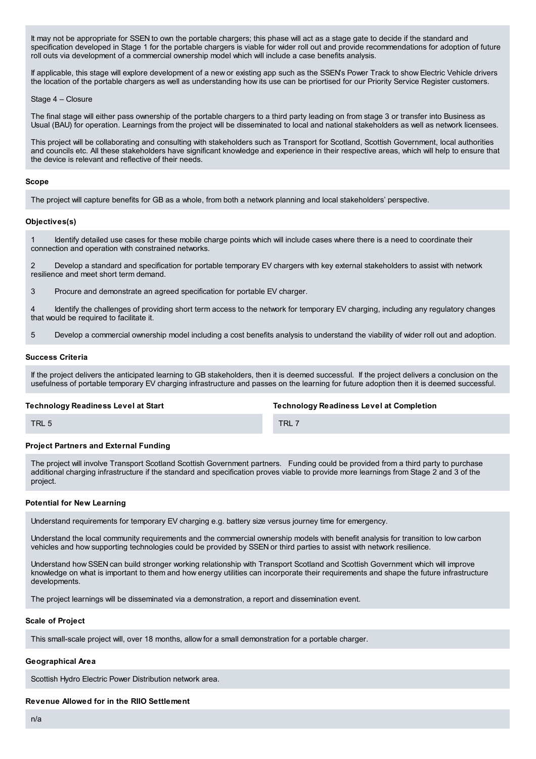It may not be appropriate for SSEN to own the portable chargers; this phase will act as a stage gate to decide if the standard and specification developed in Stage 1 for the portable chargers is viable for wider roll out and provide recommendations for adoption of future roll outs via development of a commercial ownership model which will include a case benefits analysis.

If applicable, this stage will explore development of a new or existing app such as the SSEN's Power Track to show Electric Vehicle drivers the location of the portable chargers as well as understanding how its use can be priortised for our Priority Service Register customers.

#### Stage 4 – Closure

The final stage will either pass ownership of the portable chargers to a third party leading on from stage 3 or transfer into Business as Usual (BAU) for operation. Learnings from the project will be disseminated to local and national stakeholders as well as network licensees.

This project will be collaborating and consulting with stakeholders such as Transport for Scotland, Scottish Government, local authorities and councils etc. All these stakeholders have significant knowledge and experience in their respective areas, which will help to ensure that the device is relevant and reflective of their needs.

#### **Scope**

The project will capture benefits for GB as a whole, from both a network planning and local stakeholders' perspective.

## **Objectives(s)**

Identify detailed use cases for these mobile charge points which will include cases where there is a need to coordinate their connection and operation with constrained networks.

2 Develop a standard and specification for portable temporary EV chargers with key external stakeholders to assist with network resilience and meet short term demand.

3 Procure and demonstrate an agreed specification for portable EV charger.

4 Identify the challenges of providing short term access to the network for temporary EV charging, including any regulatory changes that would be required to facilitate it.

5 Develop a commercial ownership model including a cost benefits analysis to understand the viability of wider roll out and adoption.

#### **Success Criteria**

If the project delivers the anticipated learning to GB stakeholders, then it is deemed successful. If the project delivers a conclusion on the usefulness of portable temporary EV charging infrastructure and passes on the learning for future adoption then it is deemed successful.

#### **Technology Readiness Level at Start**

**Technology Readiness Level at Completion**

TRL 5

TRL 7

#### **Project Partners and External Funding**

The project will involve Transport Scotland Scottish Government partners. Funding could be provided from a third party to purchase additional charging infrastructure if the standard and specification proves viable to provide more learnings from Stage 2 and 3 of the project.

#### **Potential for New Learning**

Understand requirements for temporary EV charging e.g. battery size versus journey time for emergency.

Understand the local community requirements and the commercial ownership models with benefit analysis for transition to low carbon vehicles and how supporting technologies could be provided by SSEN or third parties to assist with network resilience.

Understand how SSEN can build stronger working relationship with Transport Scotland and Scottish Government which will improve knowledge on what is important to them and how energy utilities can incorporate their requirements and shape the future infrastructure developments.

The project learnings will be disseminated via a demonstration, a report and dissemination event.

#### **Scale of Project**

This small-scale project will, over 18 months, allow for a small demonstration for a portable charger.

# **Geographical Area**

Scottish Hydro Electric Power Distribution network area.

**Revenue Allowed for in the RIIO Settlement**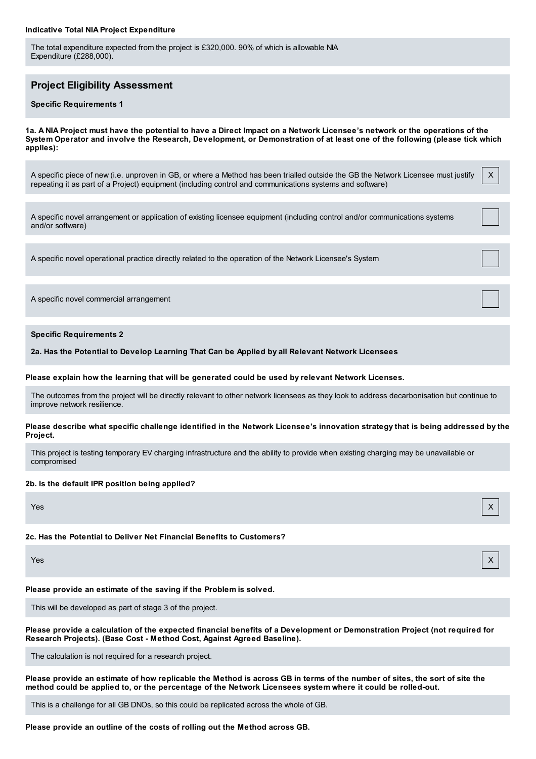#### **Indicative Total NIA Project Expenditure**

The total expenditure expected from the project is £320,000. 90% of which is allowable NIA Expenditure (£288,000).

# **Project Eligibility Assessment**

#### **Specific Requirements 1**

1a. A NIA Project must have the potential to have a Direct Impact on a Network Licensee's network or the operations of the System Operator and involve the Research, Development, or Demonstration of at least one of the following (please tick which **applies):**

X

A specific piece of new (i.e. unproven in GB, or where a Method has been trialled outside the GB the Network Licensee must justify repeating it as part of a Project) equipment (including control and communications systems and software)

A specific novel arrangement or application of existing licensee equipment (including control and/or communications systems and/or software)

A specific novel operational practice directly related to the operation of the Network Licensee's System

A specific novel commercial arrangement

**Specific Requirements 2**

**2a. Has the Potential to Develop Learning That Can be Applied by all Relevant Network Licensees**

#### **Please explain how the learning that will be generated could be used by relevant Network Licenses.**

The outcomes from the project will be directly relevant to other network licensees as they look to address decarbonisation but continue to improve network resilience.

#### Please describe what specific challenge identified in the Network Licensee's innovation strategy that is being addressed by the **Project.**

This project is testing temporary EV charging infrastructure and the ability to provide when existing charging may be unavailable or compromised

#### **2b. Is the default IPR position being applied?**

Yes X

## **2c. Has the Potential to Deliver Net Financial Benefits to Customers?**

Yes X

**Please provide an estimate of the saving if the Problem is solved.**

This will be developed as part of stage 3 of the project.

Please provide a calculation of the expected financial benefits of a Development or Demonstration Project (not required for **Research Projects). (Base Cost - Method Cost, Against Agreed Baseline).**

The calculation is not required for a research project.

Please provide an estimate of how replicable the Method is across GB in terms of the number of sites, the sort of site the method could be applied to, or the percentage of the Network Licensees system where it could be rolled-out.

This is a challenge for all GB DNOs, so this could be replicated across the whole of GB.

**Please provide an outline of the costs of rolling out the Method across GB.**